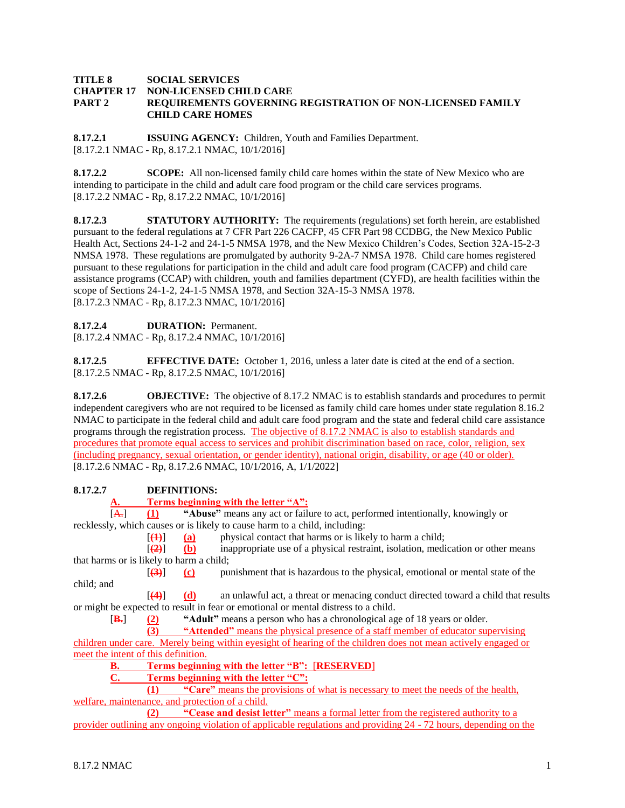#### **TITLE 8 SOCIAL SERVICES CHAPTER 17 NON-LICENSED CHILD CARE PART 2 REQUIREMENTS GOVERNING REGISTRATION OF NON-LICENSED FAMILY CHILD CARE HOMES**

**8.17.2.1 ISSUING AGENCY:** Children, Youth and Families Department. [8.17.2.1 NMAC - Rp, 8.17.2.1 NMAC, 10/1/2016]

**8.17.2.2 SCOPE:** All non-licensed family child care homes within the state of New Mexico who are intending to participate in the child and adult care food program or the child care services programs. [8.17.2.2 NMAC - Rp, 8.17.2.2 NMAC, 10/1/2016]

**8.17.2.3 STATUTORY AUTHORITY:** The requirements (regulations) set forth herein, are established pursuant to the federal regulations at 7 CFR Part 226 CACFP, 45 CFR Part 98 CCDBG, the New Mexico Public Health Act, Sections 24-1-2 and 24-1-5 NMSA 1978, and the New Mexico Children's Codes, Section 32A-15-2-3 NMSA 1978. These regulations are promulgated by authority 9-2A-7 NMSA 1978. Child care homes registered pursuant to these regulations for participation in the child and adult care food program (CACFP) and child care assistance programs (CCAP) with children, youth and families department (CYFD), are health facilities within the scope of Sections 24-1-2, 24-1-5 NMSA 1978, and Section 32A-15-3 NMSA 1978. [8.17.2.3 NMAC - Rp, 8.17.2.3 NMAC, 10/1/2016]

## **8.17.2.4 DURATION:** Permanent.

[8.17.2.4 NMAC - Rp, 8.17.2.4 NMAC, 10/1/2016]

**8.17.2.5 EFFECTIVE DATE:** October 1, 2016, unless a later date is cited at the end of a section. [8.17.2.5 NMAC - Rp, 8.17.2.5 NMAC, 10/1/2016]

**8.17.2.6 OBJECTIVE:** The objective of 8.17.2 NMAC is to establish standards and procedures to permit independent caregivers who are not required to be licensed as family child care homes under state regulation 8.16.2 NMAC to participate in the federal child and adult care food program and the state and federal child care assistance programs through the registration process. The objective of 8.17.2 NMAC is also to establish standards and procedures that promote equal access to services and prohibit discrimination based on race, color, religion, sex (including pregnancy, sexual orientation, or gender identity), national origin, disability, or age (40 or older). [8.17.2.6 NMAC - Rp, 8.17.2.6 NMAC, 10/1/2016, A, 1/1/2022]

## **8.17.2.7 DEFINITIONS:**

**Terms beginning with the letter "A":** 

[A.] **(1) "Abuse"** means any act or failure to act, performed intentionally, knowingly or recklessly, which causes or is likely to cause harm to a child, including:

 $[4]$  (a) physical contact that harms or is likely to harm a child;

[**(2)**] **(b)** inappropriate use of a physical restraint, isolation, medication or other means that harms or is likely to harm a child;

[**(3)**] **(c)** punishment that is hazardous to the physical, emotional or mental state of the child; and

[**(4)**] **(d)** an unlawful act, a threat or menacing conduct directed toward a child that results or might be expected to result in fear or emotional or mental distress to a child.

[**B.**] **(2) "Adult"** means a person who has a chronological age of 18 years or older.

**(3) "Attended"** means the physical presence of a staff member of educator supervising

children under care. Merely being within eyesight of hearing of the children does not mean actively engaged or meet the intent of this definition.

**B. Terms beginning with the letter "B":** [**RESERVED**]

**C. Terms beginning with the letter "C":**

**(1) "Care"** means the provisions of what is necessary to meet the needs of the health, welfare, maintenance, and protection of a child.

**(2) "Cease and desist letter"** means a formal letter from the registered authority to a provider outlining any ongoing violation of applicable regulations and providing 24 - 72 hours, depending on the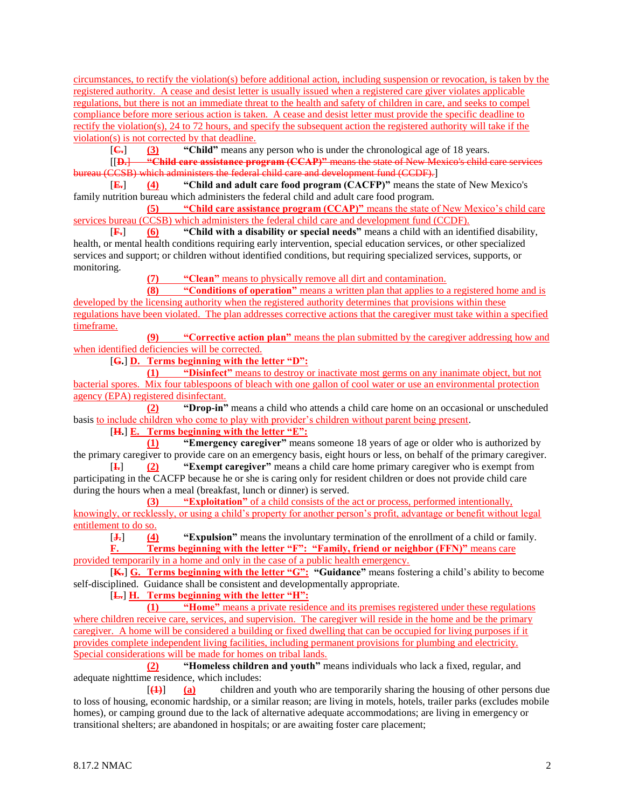circumstances, to rectify the violation(s) before additional action, including suspension or revocation, is taken by the registered authority. A cease and desist letter is usually issued when a registered care giver violates applicable regulations, but there is not an immediate threat to the health and safety of children in care, and seeks to compel compliance before more serious action is taken. A cease and desist letter must provide the specific deadline to rectify the violation(s), 24 to 72 hours, and specify the subsequent action the registered authority will take if the violation(s) is not corrected by that deadline.

[**C.**] **(3) "Child"** means any person who is under the chronological age of 18 years.

[[**D.**] **"Child care assistance program (CCAP)"** means the state of New Mexico's child care services bureau (CCSB) which administers the federal child care and development fund (CCDF).]

[**E.**] **(4) "Child and adult care food program (CACFP)"** means the state of New Mexico's family nutrition bureau which administers the federal child and adult care food program.

**(5) "Child care assistance program (CCAP)"** means the state of New Mexico's child care services bureau (CCSB) which administers the federal child care and development fund (CCDF).

[**F.**] **(6) "Child with a disability or special needs"** means a child with an identified disability, health, or mental health conditions requiring early intervention, special education services, or other specialized services and support; or children without identified conditions, but requiring specialized services, supports, or monitoring.

**(7) "Clean"** means to physically remove all dirt and contamination.

**(8) "Conditions of operation"** means a written plan that applies to a registered home and is developed by the licensing authority when the registered authority determines that provisions within these regulations have been violated. The plan addresses corrective actions that the caregiver must take within a specified

timeframe. **(9) "Corrective action plan"** means the plan submitted by the caregiver addressing how and

when identified deficiencies will be corrected.

[**G.**] **D. Terms beginning with the letter "D":**

**(1) "Disinfect"** means to destroy or inactivate most germs on any inanimate object, but not bacterial spores. Mix four tablespoons of bleach with one gallon of cool water or use an environmental protection agency (EPA) registered disinfectant.

**(2) "Drop-in"** means a child who attends a child care home on an occasional or unscheduled basis to include children who come to play with provider's children without parent being present.

[**H.**] **E. Terms beginning with the letter "E":**

**(1) "Emergency caregiver"** means someone 18 years of age or older who is authorized by the primary caregiver to provide care on an emergency basis, eight hours or less, on behalf of the primary caregiver.

[**I.**] **(2) "Exempt caregiver"** means a child care home primary caregiver who is exempt from participating in the CACFP because he or she is caring only for resident children or does not provide child care during the hours when a meal (breakfast, lunch or dinner) is served.

**(3) "Exploitation"** of a child consists of the act or process, performed intentionally, knowingly, or recklessly, or using a child's property for another person's profit, advantage or benefit without legal entitlement to do so.<br> $\begin{bmatrix} \mathbf{J} \mathbf{.} \end{bmatrix}$  (4)

[**J.**] **(4) "Expulsion"** means the involuntary termination of the enrollment of a child or family.

**F. Terms beginning with the letter "F": "Family, friend or neighbor (FFN)"** means care provided temporarily in a home and only in the case of a public health emergency.

[**K.**] **G. Terms beginning with the letter "G": "Guidance"** means fostering a child's ability to become self-disciplined. Guidance shall be consistent and developmentally appropriate.

[**L.**] **H. Terms beginning with the letter "H":**

**(1) "Home"** means a private residence and its premises registered under these regulations where children receive care, services, and supervision. The caregiver will reside in the home and be the primary caregiver. A home will be considered a building or fixed dwelling that can be occupied for living purposes if it provides complete independent living facilities, including permanent provisions for plumbing and electricity. Special considerations will be made for homes on tribal lands.

**(2) "Homeless children and youth"** means individuals who lack a fixed, regular, and adequate nighttime residence, which includes:

[**(1)**] **(a)** children and youth who are temporarily sharing the housing of other persons due to loss of housing, economic hardship, or a similar reason; are living in motels, hotels, trailer parks (excludes mobile homes), or camping ground due to the lack of alternative adequate accommodations; are living in emergency or transitional shelters; are abandoned in hospitals; or are awaiting foster care placement;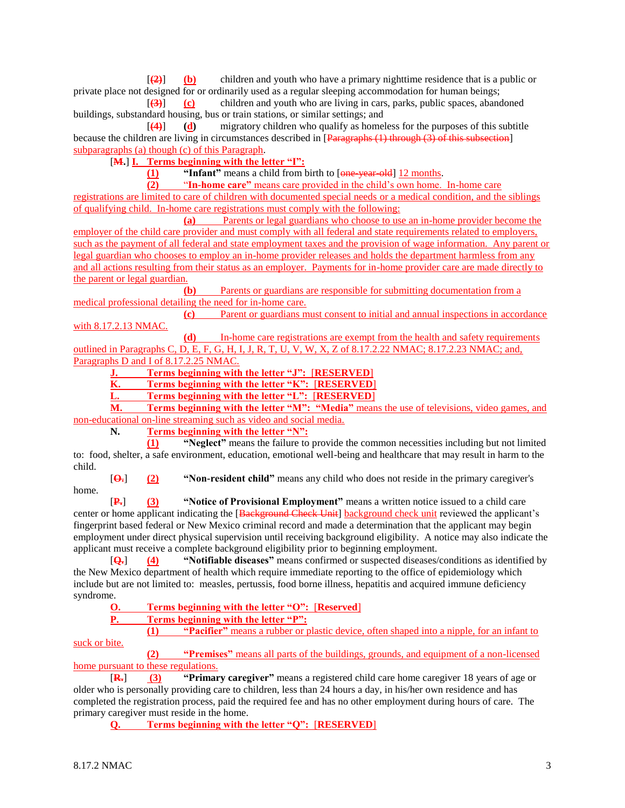[**(2)**] **(b)** children and youth who have a primary nighttime residence that is a public or private place not designed for or ordinarily used as a regular sleeping accommodation for human beings;

[**(3)**] **(c)** children and youth who are living in cars, parks, public spaces, abandoned buildings, substandard housing, bus or train stations, or similar settings; and

[**(4)**] **(d)** migratory children who qualify as homeless for the purposes of this subtitle because the children are living in circumstances described in [Paragraphs (1) through (3) of this subsection] subparagraphs (a) though (c) of this Paragraph.

[**M.**] **I. Terms beginning with the letter "I":**

**(1) "Infant"** means a child from birth to [one-year-old] 12 months.<br>**(2) "In-home care"** means care provided in the child's own home.

**(2)** "**In-home care"** means care provided in the child's own home. In-home care registrations are limited to care of children with documented special needs or a medical condition, and the siblings of qualifying child. In-home care registrations must comply with the following:

**(a)** Parents or legal guardians who choose to use an in-home provider become the employer of the child care provider and must comply with all federal and state requirements related to employers, such as the payment of all federal and state employment taxes and the provision of wage information. Any parent or legal guardian who chooses to employ an in-home provider releases and holds the department harmless from any and all actions resulting from their status as an employer. Payments for in-home provider care are made directly to the parent or legal guardian.

**(b)** Parents or guardians are responsible for submitting documentation from a medical professional detailing the need for in-home care.

**(c)** Parent or guardians must consent to initial and annual inspections in accordance with 8.17.2.13 NMAC.

**(d)** In-home care registrations are exempt from the health and safety requirements outlined in Paragraphs C, D, E, F, G, H, I, J, R, T, U, V, W, X, Z of 8.17.2.22 NMAC; 8.17.2.23 NMAC; and, Paragraphs D and I of 8.17.2.25 NMAC.

**J. Terms beginning with the letter "J":** [**RESERVED**]

**K. Terms beginning with the letter "K":** [**RESERVED**]

**L. Terms beginning with the letter "L":** [**RESERVED**]

**M. Terms beginning with the letter "M": "Media"** means the use of televisions, video games, and non-educational on-line streaming such as video and social media.

**N. Terms beginning with the letter "N":**

**(1) "Neglect"** means the failure to provide the common necessities including but not limited to: food, shelter, a safe environment, education, emotional well-being and healthcare that may result in harm to the child.

[**O.**] **(2) "Non-resident child"** means any child who does not reside in the primary caregiver's home.

[**P.**] **(3) "Notice of Provisional Employment"** means a written notice issued to a child care center or home applicant indicating the [Background Check Unit] background check unit reviewed the applicant's fingerprint based federal or New Mexico criminal record and made a determination that the applicant may begin employment under direct physical supervision until receiving background eligibility. A notice may also indicate the applicant must receive a complete background eligibility prior to beginning employment.

[**Q.**] **(4) "Notifiable diseases"** means confirmed or suspected diseases/conditions as identified by the New Mexico department of health which require immediate reporting to the office of epidemiology which include but are not limited to: measles, pertussis, food borne illness, hepatitis and acquired immune deficiency syndrome.

**Terms beginning with the letter "O": [Reserved]** 

**P. Terms beginning with the letter "P":**

**(1) "Pacifier"** means a rubber or plastic device, often shaped into a nipple, for an infant to suck or bite.

**(2) "Premises"** means all parts of the buildings, grounds, and equipment of a non-licensed home pursuant to these regulations.

[**R.**] **(3) "Primary caregiver"** means a registered child care home caregiver 18 years of age or older who is personally providing care to children, less than 24 hours a day, in his/her own residence and has completed the registration process, paid the required fee and has no other employment during hours of care. The primary caregiver must reside in the home.

**Q. Terms beginning with the letter "Q":** [**RESERVED**]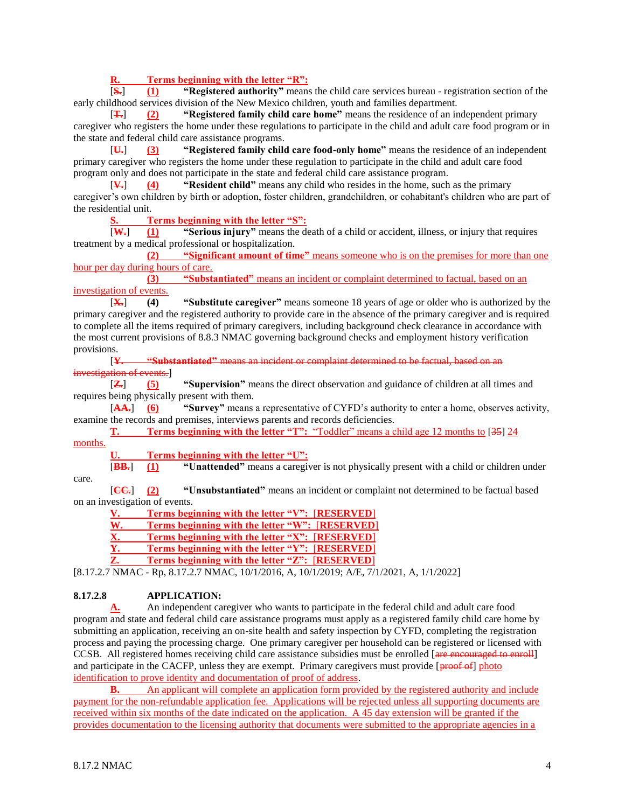**R. Terms beginning with the letter "R":**

[**S.**] **(1) "Registered authority"** means the child care services bureau - registration section of the early childhood services division of the New Mexico children, youth and families department.

[**T.**] **(2) "Registered family child care home"** means the residence of an independent primary caregiver who registers the home under these regulations to participate in the child and adult care food program or in the state and federal child care assistance programs.

[**U.**] **(3) "Registered family child care food-only home"** means the residence of an independent primary caregiver who registers the home under these regulation to participate in the child and adult care food program only and does not participate in the state and federal child care assistance program.

[**V.**] **(4) "Resident child"** means any child who resides in the home, such as the primary caregiver's own children by birth or adoption, foster children, grandchildren, or cohabitant's children who are part of the residential unit.

**S. Terms beginning with the letter "S":**

[**W.**] **(1) "Serious injury"** means the death of a child or accident, illness, or injury that requires treatment by a medical professional or hospitalization.

**(2) "Significant amount of time"** means someone who is on the premises for more than one hour per day during hours of care.

**(3) "Substantiated"** means an incident or complaint determined to factual, based on an investigation of events.

[**X.**] **(4) "Substitute caregiver"** means someone 18 years of age or older who is authorized by the primary caregiver and the registered authority to provide care in the absence of the primary caregiver and is required to complete all the items required of primary caregivers, including background check clearance in accordance with the most current provisions of 8.8.3 NMAC governing background checks and employment history verification provisions.

[**Y. "Substantiated"** means an incident or complaint determined to be factual, based on an tigation of events.]

[**Z.**] **(5) "Supervision"** means the direct observation and guidance of children at all times and requires being physically present with them.

[**AA.**] **(6) "Survey"** means a representative of CYFD's authority to enter a home, observes activity, examine the records and premises, interviews parents and records deficiencies.

**T. Terms beginning with the letter "T":** "Toddler" means a child age 12 months to [35] 24

months.

**U. Terms beginning with the letter "U":**

[**BB.**] **(1) "Unattended"** means a caregiver is not physically present with a child or children under care.

[**CC.**] **(2) "Unsubstantiated"** means an incident or complaint not determined to be factual based on an investigation of events.

**V. Terms beginning with the letter "V":** [**RESERVED**]

**W. Terms beginning with the letter "W":** [**RESERVED**]

**X. Terms beginning with the letter "X":** [**RESERVED**]

**Y. Terms beginning with the letter "Y":** [**RESERVED**]

**Z. Terms beginning with the letter "Z":** [**RESERVED**]

[8.17.2.7 NMAC - Rp, 8.17.2.7 NMAC, 10/1/2016, A, 10/1/2019; A/E, 7/1/2021, A, 1/1/2022]

# **8.17.2.8 APPLICATION:**

**A.** An independent caregiver who wants to participate in the federal child and adult care food program and state and federal child care assistance programs must apply as a registered family child care home by submitting an application, receiving an on-site health and safety inspection by CYFD, completing the registration process and paying the processing charge. One primary caregiver per household can be registered or licensed with CCSB. All registered homes receiving child care assistance subsidies must be enrolled [are encouraged to enroll] and participate in the CACFP, unless they are exempt. Primary caregivers must provide [ $\frac{1}{\text{proof of } }$ ] photo identification to prove identity and documentation of proof of address.

**B.** An applicant will complete an application form provided by the registered authority and include payment for the non-refundable application fee. Applications will be rejected unless all supporting documents are received within six months of the date indicated on the application. A 45 day extension will be granted if the provides documentation to the licensing authority that documents were submitted to the appropriate agencies in a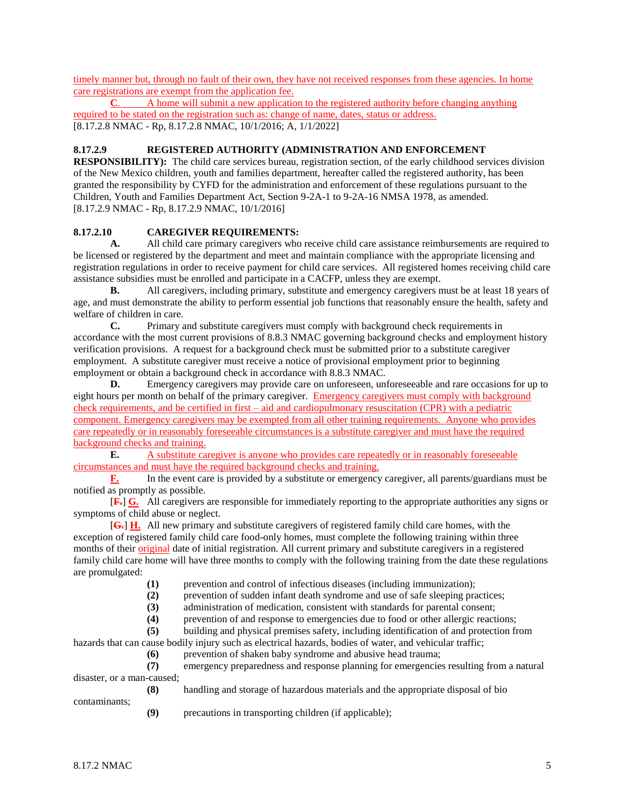timely manner but, through no fault of their own, they have not received responses from these agencies. In home care registrations are exempt from the application fee.

**C**. A home will submit a new application to the registered authority before changing anything required to be stated on the registration such as: change of name, dates, status or address. [8.17.2.8 NMAC - Rp, 8.17.2.8 NMAC, 10/1/2016; A, 1/1/2022]

## **8.17.2.9 REGISTERED AUTHORITY (ADMINISTRATION AND ENFORCEMENT**

**RESPONSIBILITY):** The child care services bureau, registration section, of the early childhood services division of the New Mexico children, youth and families department, hereafter called the registered authority, has been granted the responsibility by CYFD for the administration and enforcement of these regulations pursuant to the Children, Youth and Families Department Act, Section 9-2A-1 to 9-2A-16 NMSA 1978, as amended. [8.17.2.9 NMAC - Rp, 8.17.2.9 NMAC, 10/1/2016]

## **8.17.2.10 CAREGIVER REQUIREMENTS:**

**A.** All child care primary caregivers who receive child care assistance reimbursements are required to be licensed or registered by the department and meet and maintain compliance with the appropriate licensing and registration regulations in order to receive payment for child care services. All registered homes receiving child care assistance subsidies must be enrolled and participate in a CACFP, unless they are exempt.

**B.** All caregivers, including primary, substitute and emergency caregivers must be at least 18 years of age, and must demonstrate the ability to perform essential job functions that reasonably ensure the health, safety and welfare of children in care.

**C.** Primary and substitute caregivers must comply with background check requirements in accordance with the most current provisions of 8.8.3 NMAC governing background checks and employment history verification provisions. A request for a background check must be submitted prior to a substitute caregiver employment. A substitute caregiver must receive a notice of provisional employment prior to beginning employment or obtain a background check in accordance with 8.8.3 NMAC.

**D.** Emergency caregivers may provide care on unforeseen, unforeseeable and rare occasions for up to eight hours per month on behalf of the primary caregiver. Emergency caregivers must comply with background check requirements, and be certified in first – aid and cardiopulmonary resuscitation (CPR) with a pediatric component. Emergency caregivers may be exempted from all other training requirements. Anyone who provides care repeatedly or in reasonably foreseeable circumstances is a substitute caregiver and must have the required background checks and training.<br> **E.** A substitute can

**E.** A substitute caregiver is anyone who provides care repeatedly or in reasonably foreseeable circumstances and must have the required background checks and training.

**F.** In the event care is provided by a substitute or emergency caregiver, all parents/guardians must be notified as promptly as possible.

[**F.**] **G.** All caregivers are responsible for immediately reporting to the appropriate authorities any signs or symptoms of child abuse or neglect.

[**G.**] **H.** All new primary and substitute caregivers of registered family child care homes, with the exception of registered family child care food-only homes, must complete the following training within three months of their original date of initial registration. All current primary and substitute caregivers in a registered family child care home will have three months to comply with the following training from the date these regulations are promulgated:

**(1)** prevention and control of infectious diseases (including immunization);

**(2)** prevention of sudden infant death syndrome and use of safe sleeping practices;

**(3)** administration of medication, consistent with standards for parental consent;

**(4)** prevention of and response to emergencies due to food or other allergic reactions;

**(5)** building and physical premises safety, including identification of and protection from

hazards that can cause bodily injury such as electrical hazards, bodies of water, and vehicular traffic;

**(6)** prevention of shaken baby syndrome and abusive head trauma;

**(7)** emergency preparedness and response planning for emergencies resulting from a natural disaster, or a man-caused;

**(8)** handling and storage of hazardous materials and the appropriate disposal of bio

contaminants;

**(9)** precautions in transporting children (if applicable);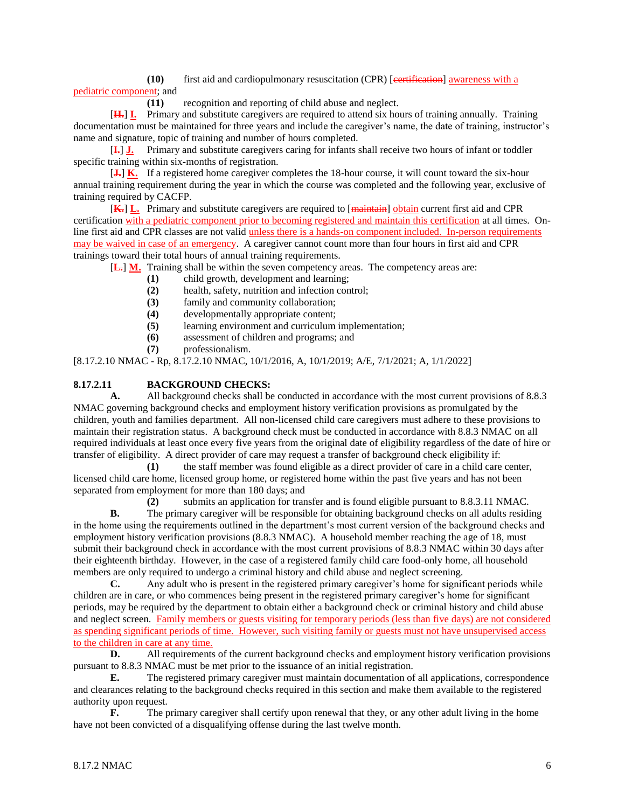**(10)** first aid and cardiopulmonary resuscitation (CPR) [certification] awareness with a pediatric component; and

**(11)** recognition and reporting of child abuse and neglect.

[**H.**] **I.** Primary and substitute caregivers are required to attend six hours of training annually. Training documentation must be maintained for three years and include the caregiver's name, the date of training, instructor's name and signature, topic of training and number of hours completed.

[**I.**] **J.** Primary and substitute caregivers caring for infants shall receive two hours of infant or toddler specific training within six-months of registration.

[**J.**] **K.** If a registered home caregiver completes the 18-hour course, it will count toward the six-hour annual training requirement during the year in which the course was completed and the following year, exclusive of training required by CACFP.

[**K.**] **L.** Primary and substitute caregivers are required to [maintain] obtain current first aid and CPR certification with a pediatric component prior to becoming registered and maintain this certification at all times. Online first aid and CPR classes are not valid unless there is a hands-on component included. In-person requirements may be waived in case of an emergency. A caregiver cannot count more than four hours in first aid and CPR trainings toward their total hours of annual training requirements.

[**L.**] **M.** Training shall be within the seven competency areas. The competency areas are:

**(1)** child growth, development and learning;

- **(2)** health, safety, nutrition and infection control;
- **(3)** family and community collaboration;
- **(4)** developmentally appropriate content;
- **(5)** learning environment and curriculum implementation;
- **(6)** assessment of children and programs; and
- **(7)** professionalism.

[8.17.2.10 NMAC - Rp, 8.17.2.10 NMAC, 10/1/2016, A, 10/1/2019; A/E, 7/1/2021; A, 1/1/2022]

## **8.17.2.11 BACKGROUND CHECKS:**

**A.** All background checks shall be conducted in accordance with the most current provisions of 8.8.3 NMAC governing background checks and employment history verification provisions as promulgated by the children, youth and families department. All non-licensed child care caregivers must adhere to these provisions to maintain their registration status. A background check must be conducted in accordance with 8.8.3 NMAC on all required individuals at least once every five years from the original date of eligibility regardless of the date of hire or transfer of eligibility. A direct provider of care may request a transfer of background check eligibility if:

**(1)** the staff member was found eligible as a direct provider of care in a child care center, licensed child care home, licensed group home, or registered home within the past five years and has not been separated from employment for more than 180 days; and

**(2)** submits an application for transfer and is found eligible pursuant to 8.8.3.11 NMAC.

**B.** The primary caregiver will be responsible for obtaining background checks on all adults residing in the home using the requirements outlined in the department's most current version of the background checks and employment history verification provisions (8.8.3 NMAC). A household member reaching the age of 18, must submit their background check in accordance with the most current provisions of 8.8.3 NMAC within 30 days after their eighteenth birthday. However, in the case of a registered family child care food-only home, all household members are only required to undergo a criminal history and child abuse and neglect screening.

**C.** Any adult who is present in the registered primary caregiver's home for significant periods while children are in care, or who commences being present in the registered primary caregiver's home for significant periods, may be required by the department to obtain either a background check or criminal history and child abuse and neglect screen. Family members or guests visiting for temporary periods (less than five days) are not considered as spending significant periods of time. However, such visiting family or guests must not have unsupervised access to the children in care at any time.

**D.** All requirements of the current background checks and employment history verification provisions pursuant to 8.8.3 NMAC must be met prior to the issuance of an initial registration.

**E.** The registered primary caregiver must maintain documentation of all applications, correspondence and clearances relating to the background checks required in this section and make them available to the registered authority upon request.

**F.** The primary caregiver shall certify upon renewal that they, or any other adult living in the home have not been convicted of a disqualifying offense during the last twelve month.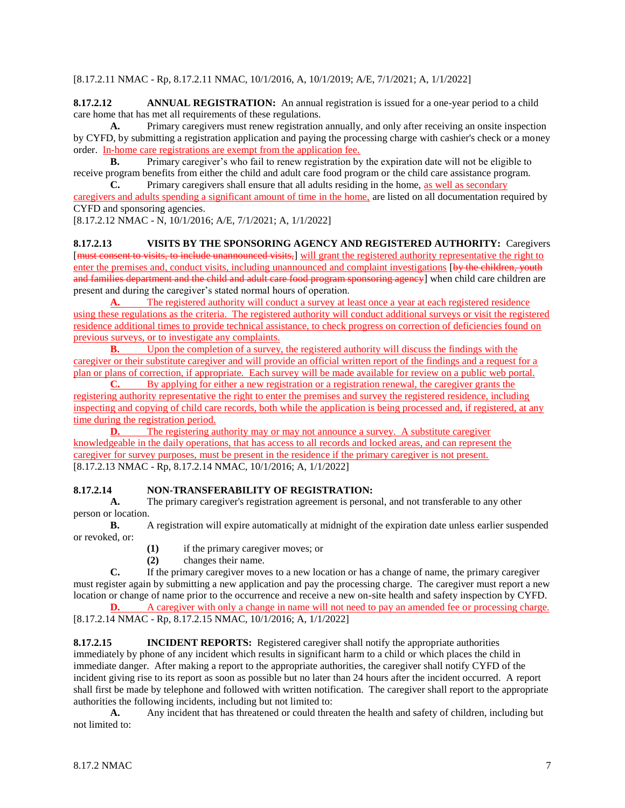[8.17.2.11 NMAC - Rp, 8.17.2.11 NMAC, 10/1/2016, A, 10/1/2019; A/E, 7/1/2021; A, 1/1/2022]

**8.17.2.12 ANNUAL REGISTRATION:** An annual registration is issued for a one-year period to a child care home that has met all requirements of these regulations.

**A.** Primary caregivers must renew registration annually, and only after receiving an onsite inspection by CYFD, by submitting a registration application and paying the processing charge with cashier's check or a money order. In-home care registrations are exempt from the application fee.

**B.** Primary caregiver's who fail to renew registration by the expiration date will not be eligible to receive program benefits from either the child and adult care food program or the child care assistance program. **C.** Primary caregivers shall ensure that all adults residing in the home, as well as secondary

caregivers and adults spending a significant amount of time in the home, are listed on all documentation required by CYFD and sponsoring agencies.

[8.17.2.12 NMAC - N, 10/1/2016; A/E, 7/1/2021; A, 1/1/2022]

**8.17.2.13 VISITS BY THE SPONSORING AGENCY AND REGISTERED AUTHORITY:** Caregivers [must consent to visits, to include unannounced visits,] will grant the registered authority representative the right to enter the premises and, conduct visits, including unannounced and complaint investigations [by the children, youth and families department and the child and adult care food program sponsoring agency] when child care children are present and during the caregiver's stated normal hours of operation.

A. The registered authority will conduct a survey at least once a year at each registered residence using these regulations as the criteria. The registered authority will conduct additional surveys or visit the registered residence additional times to provide technical assistance, to check progress on correction of deficiencies found on previous surveys, or to investigate any complaints.

**B.** Upon the completion of a survey, the registered authority will discuss the findings with the caregiver or their substitute caregiver and will provide an official written report of the findings and a request for a plan or plans of correction, if appropriate. Each survey will be made available for review on a public web portal.

**C.** By applying for either a new registration or a registration renewal, the caregiver grants the registering authority representative the right to enter the premises and survey the registered residence, including inspecting and copying of child care records, both while the application is being processed and, if registered, at any time during the registration period.

**D.** The registering authority may or may not announce a survey. A substitute caregiver knowledgeable in the daily operations, that has access to all records and locked areas, and can represent the caregiver for survey purposes, must be present in the residence if the primary caregiver is not present. [8.17.2.13 NMAC - Rp, 8.17.2.14 NMAC, 10/1/2016; A, 1/1/2022]

## **8.17.2.14 NON-TRANSFERABILITY OF REGISTRATION:**

**A.** The primary caregiver's registration agreement is personal, and not transferable to any other person or location.

**B.** A registration will expire automatically at midnight of the expiration date unless earlier suspended or revoked, or:

**(1)** if the primary caregiver moves; or

**(2)** changes their name.

**C.** If the primary caregiver moves to a new location or has a change of name, the primary caregiver must register again by submitting a new application and pay the processing charge. The caregiver must report a new location or change of name prior to the occurrence and receive a new on-site health and safety inspection by CYFD.

**D.** A caregiver with only a change in name will not need to pay an amended fee or processing charge. [8.17.2.14 NMAC - Rp, 8.17.2.15 NMAC, 10/1/2016; A, 1/1/2022]

**8.17.2.15 INCIDENT REPORTS:** Registered caregiver shall notify the appropriate authorities immediately by phone of any incident which results in significant harm to a child or which places the child in immediate danger. After making a report to the appropriate authorities, the caregiver shall notify CYFD of the incident giving rise to its report as soon as possible but no later than 24 hours after the incident occurred. A report shall first be made by telephone and followed with written notification. The caregiver shall report to the appropriate authorities the following incidents, including but not limited to:

**A.** Any incident that has threatened or could threaten the health and safety of children, including but not limited to: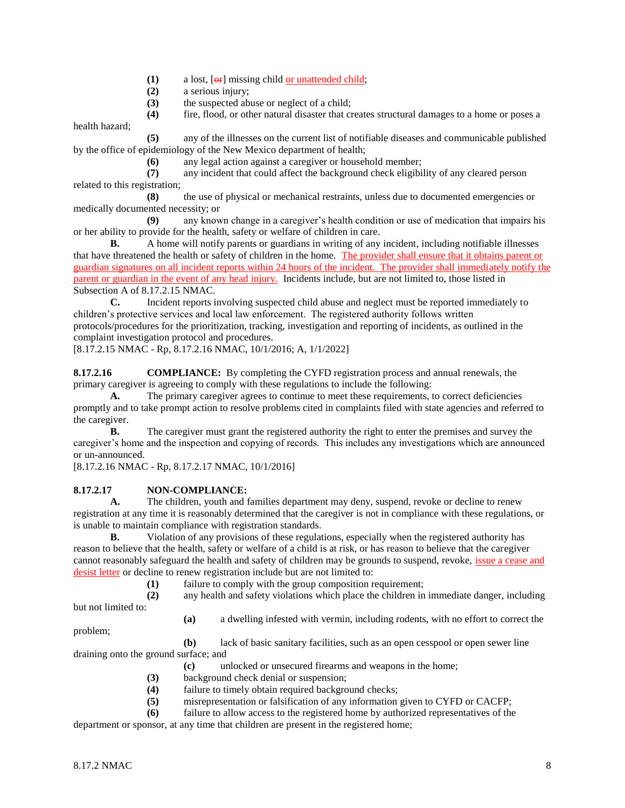- $(1)$  a lost,  $[**or**]$  missing child or unattended child;
- **(2)** a serious injury;
- **(3)** the suspected abuse or neglect of a child;
- **(4)** fire, flood, or other natural disaster that creates structural damages to a home or poses a

health hazard;

**(5)** any of the illnesses on the current list of notifiable diseases and communicable published by the office of epidemiology of the New Mexico department of health;

**(6)** any legal action against a caregiver or household member;

**(7)** any incident that could affect the background check eligibility of any cleared person related to this registration;

**(8)** the use of physical or mechanical restraints, unless due to documented emergencies or medically documented necessity; or

**(9)** any known change in a caregiver's health condition or use of medication that impairs his or her ability to provide for the health, safety or welfare of children in care.

**B.** A home will notify parents or guardians in writing of any incident, including notifiable illnesses that have threatened the health or safety of children in the home. The provider shall ensure that it obtains parent or guardian signatures on all incident reports within 24 hours of the incident. The provider shall immediately notify the parent or guardian in the event of any head injury. Incidents include, but are not limited to, those listed in Subsection A of 8.17.2.15 NMAC.

**C.** Incident reports involving suspected child abuse and neglect must be reported immediately to children's protective services and local law enforcement. The registered authority follows written protocols/procedures for the prioritization, tracking, investigation and reporting of incidents, as outlined in the complaint investigation protocol and procedures.

[8.17.2.15 NMAC - Rp, 8.17.2.16 NMAC, 10/1/2016; A, 1/1/2022]

**8.17.2.16 COMPLIANCE:** By completing the CYFD registration process and annual renewals, the primary caregiver is agreeing to comply with these regulations to include the following:

A. The primary caregiver agrees to continue to meet these requirements, to correct deficiencies promptly and to take prompt action to resolve problems cited in complaints filed with state agencies and referred to the caregiver.

**B.** The caregiver must grant the registered authority the right to enter the premises and survey the caregiver's home and the inspection and copying of records. This includes any investigations which are announced or un-announced.

[8.17.2.16 NMAC - Rp, 8.17.2.17 NMAC, 10/1/2016]

## **8.17.2.17 NON-COMPLIANCE:**

**A.** The children, youth and families department may deny, suspend, revoke or decline to renew registration at any time it is reasonably determined that the caregiver is not in compliance with these regulations, or is unable to maintain compliance with registration standards.

**B.** Violation of any provisions of these regulations, especially when the registered authority has reason to believe that the health, safety or welfare of a child is at risk, or has reason to believe that the caregiver cannot reasonably safeguard the health and safety of children may be grounds to suspend, revoke, *issue a cease and* desist letter or decline to renew registration include but are not limited to:

**(1)** failure to comply with the group composition requirement;

**(2)** any health and safety violations which place the children in immediate danger, including

but not limited to:

**(a)** a dwelling infested with vermin, including rodents, with no effort to correct the

problem;

**(b)** lack of basic sanitary facilities, such as an open cesspool or open sewer line draining onto the ground surface; and

- **(c)** unlocked or unsecured firearms and weapons in the home;
- **(3)** background check denial or suspension;
- **(4)** failure to timely obtain required background checks;
- **(5)** misrepresentation or falsification of any information given to CYFD or CACFP;
- **(6)** failure to allow access to the registered home by authorized representatives of the

department or sponsor, at any time that children are present in the registered home;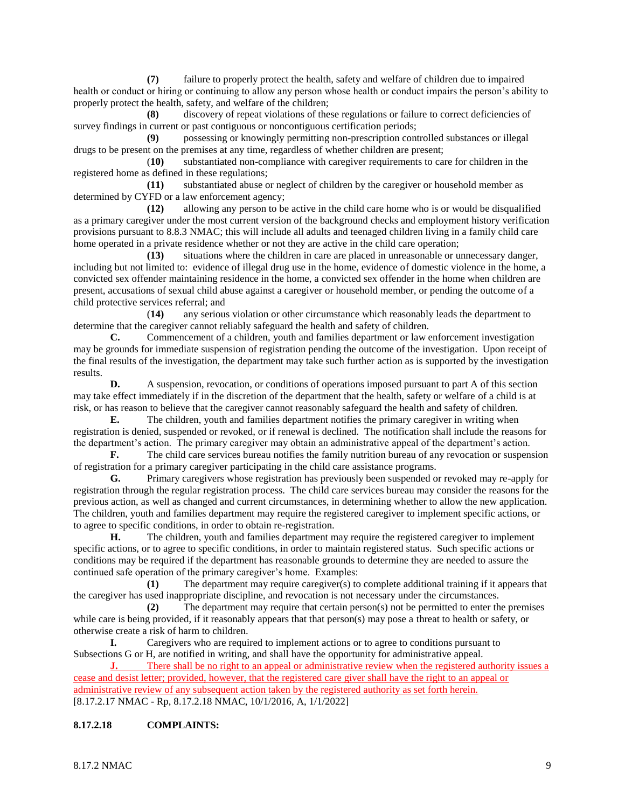**(7)** failure to properly protect the health, safety and welfare of children due to impaired health or conduct or hiring or continuing to allow any person whose health or conduct impairs the person's ability to properly protect the health, safety, and welfare of the children;

**(8)** discovery of repeat violations of these regulations or failure to correct deficiencies of survey findings in current or past contiguous or noncontiguous certification periods;

**(9)** possessing or knowingly permitting non-prescription controlled substances or illegal drugs to be present on the premises at any time, regardless of whether children are present;

(**10)** substantiated non-compliance with caregiver requirements to care for children in the registered home as defined in these regulations;

**(11)** substantiated abuse or neglect of children by the caregiver or household member as determined by CYFD or a law enforcement agency;

**(12)** allowing any person to be active in the child care home who is or would be disqualified as a primary caregiver under the most current version of the background checks and employment history verification provisions pursuant to 8.8.3 NMAC; this will include all adults and teenaged children living in a family child care home operated in a private residence whether or not they are active in the child care operation;

**(13)** situations where the children in care are placed in unreasonable or unnecessary danger, including but not limited to: evidence of illegal drug use in the home, evidence of domestic violence in the home, a convicted sex offender maintaining residence in the home, a convicted sex offender in the home when children are present, accusations of sexual child abuse against a caregiver or household member, or pending the outcome of a child protective services referral; and<br>(14) any serious

(**14)** any serious violation or other circumstance which reasonably leads the department to determine that the caregiver cannot reliably safeguard the health and safety of children.

**C.** Commencement of a children, youth and families department or law enforcement investigation may be grounds for immediate suspension of registration pending the outcome of the investigation. Upon receipt of the final results of the investigation, the department may take such further action as is supported by the investigation results.

**D.** A suspension, revocation, or conditions of operations imposed pursuant to part A of this section may take effect immediately if in the discretion of the department that the health, safety or welfare of a child is at risk, or has reason to believe that the caregiver cannot reasonably safeguard the health and safety of children.

**E.** The children, youth and families department notifies the primary caregiver in writing when registration is denied, suspended or revoked, or if renewal is declined. The notification shall include the reasons for the department's action. The primary caregiver may obtain an administrative appeal of the department's action.

**F.** The child care services bureau notifies the family nutrition bureau of any revocation or suspension of registration for a primary caregiver participating in the child care assistance programs.

**G.** Primary caregivers whose registration has previously been suspended or revoked may re-apply for registration through the regular registration process. The child care services bureau may consider the reasons for the previous action, as well as changed and current circumstances, in determining whether to allow the new application. The children, youth and families department may require the registered caregiver to implement specific actions, or to agree to specific conditions, in order to obtain re-registration.

**H.** The children, youth and families department may require the registered caregiver to implement specific actions, or to agree to specific conditions, in order to maintain registered status. Such specific actions or conditions may be required if the department has reasonable grounds to determine they are needed to assure the continued safe operation of the primary caregiver's home. Examples:

**(1)** The department may require caregiver(s) to complete additional training if it appears that the caregiver has used inappropriate discipline, and revocation is not necessary under the circumstances.

**(2)** The department may require that certain person(s) not be permitted to enter the premises while care is being provided, if it reasonably appears that that person(s) may pose a threat to health or safety, or otherwise create a risk of harm to children.

**I.** Caregivers who are required to implement actions or to agree to conditions pursuant to Subsections G or H, are notified in writing, and shall have the opportunity for administrative appeal.

There shall be no right to an appeal or administrative review when the registered authority issues a cease and desist letter; provided, however, that the registered care giver shall have the right to an appeal or administrative review of any subsequent action taken by the registered authority as set forth herein. [8.17.2.17 NMAC - Rp, 8.17.2.18 NMAC, 10/1/2016, A, 1/1/2022]

## **8.17.2.18 COMPLAINTS:**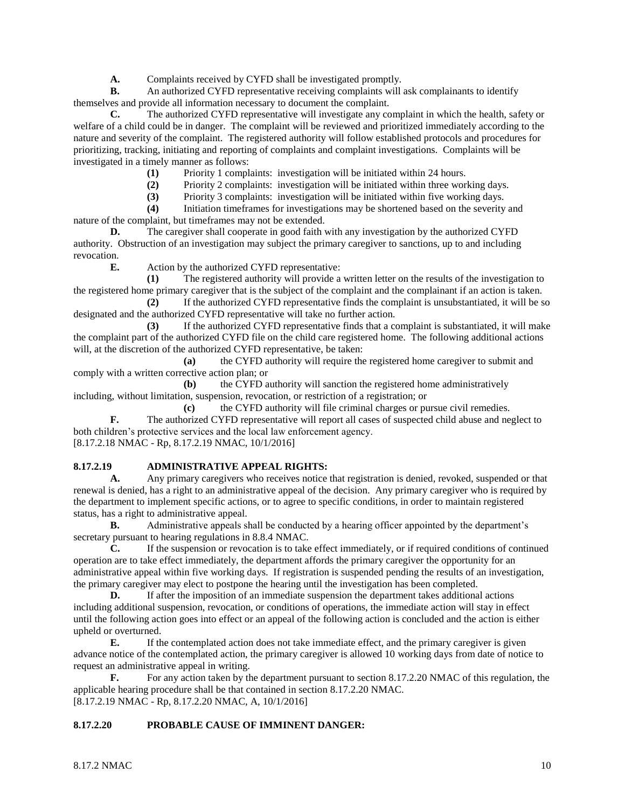**A.** Complaints received by CYFD shall be investigated promptly.

**B.** An authorized CYFD representative receiving complaints will ask complainants to identify themselves and provide all information necessary to document the complaint.

**C.** The authorized CYFD representative will investigate any complaint in which the health, safety or welfare of a child could be in danger. The complaint will be reviewed and prioritized immediately according to the nature and severity of the complaint. The registered authority will follow established protocols and procedures for prioritizing, tracking, initiating and reporting of complaints and complaint investigations. Complaints will be investigated in a timely manner as follows:

**(1)** Priority 1 complaints: investigation will be initiated within 24 hours.

**(2)** Priority 2 complaints: investigation will be initiated within three working days.

**(3)** Priority 3 complaints: investigation will be initiated within five working days.

**(4)** Initiation timeframes for investigations may be shortened based on the severity and nature of the complaint, but timeframes may not be extended.

**D.** The caregiver shall cooperate in good faith with any investigation by the authorized CYFD authority. Obstruction of an investigation may subject the primary caregiver to sanctions, up to and including revocation.

**E.** Action by the authorized CYFD representative:

**(1)** The registered authority will provide a written letter on the results of the investigation to the registered home primary caregiver that is the subject of the complaint and the complainant if an action is taken.

**(2)** If the authorized CYFD representative finds the complaint is unsubstantiated, it will be so designated and the authorized CYFD representative will take no further action.

**(3)** If the authorized CYFD representative finds that a complaint is substantiated, it will make the complaint part of the authorized CYFD file on the child care registered home. The following additional actions will, at the discretion of the authorized CYFD representative, be taken:

**(a)** the CYFD authority will require the registered home caregiver to submit and comply with a written corrective action plan; or

**(b)** the CYFD authority will sanction the registered home administratively including, without limitation, suspension, revocation, or restriction of a registration; or

**(c)** the CYFD authority will file criminal charges or pursue civil remedies. **F.** The authorized CYFD representative will report all cases of suspected child abuse and neglect to both children's protective services and the local law enforcement agency. [8.17.2.18 NMAC - Rp, 8.17.2.19 NMAC, 10/1/2016]

## **8.17.2.19 ADMINISTRATIVE APPEAL RIGHTS:**

**A.** Any primary caregivers who receives notice that registration is denied, revoked, suspended or that renewal is denied, has a right to an administrative appeal of the decision. Any primary caregiver who is required by the department to implement specific actions, or to agree to specific conditions, in order to maintain registered status, has a right to administrative appeal.

**B.** Administrative appeals shall be conducted by a hearing officer appointed by the department's secretary pursuant to hearing regulations in 8.8.4 NMAC.

**C.** If the suspension or revocation is to take effect immediately, or if required conditions of continued operation are to take effect immediately, the department affords the primary caregiver the opportunity for an administrative appeal within five working days. If registration is suspended pending the results of an investigation, the primary caregiver may elect to postpone the hearing until the investigation has been completed.

**D.** If after the imposition of an immediate suspension the department takes additional actions including additional suspension, revocation, or conditions of operations, the immediate action will stay in effect until the following action goes into effect or an appeal of the following action is concluded and the action is either upheld or overturned.

**E.** If the contemplated action does not take immediate effect, and the primary caregiver is given advance notice of the contemplated action, the primary caregiver is allowed 10 working days from date of notice to request an administrative appeal in writing.

**F.** For any action taken by the department pursuant to section 8.17.2.20 NMAC of this regulation, the applicable hearing procedure shall be that contained in section 8.17.2.20 NMAC. [8.17.2.19 NMAC - Rp, 8.17.2.20 NMAC, A, 10/1/2016]

#### **8.17.2.20 PROBABLE CAUSE OF IMMINENT DANGER:**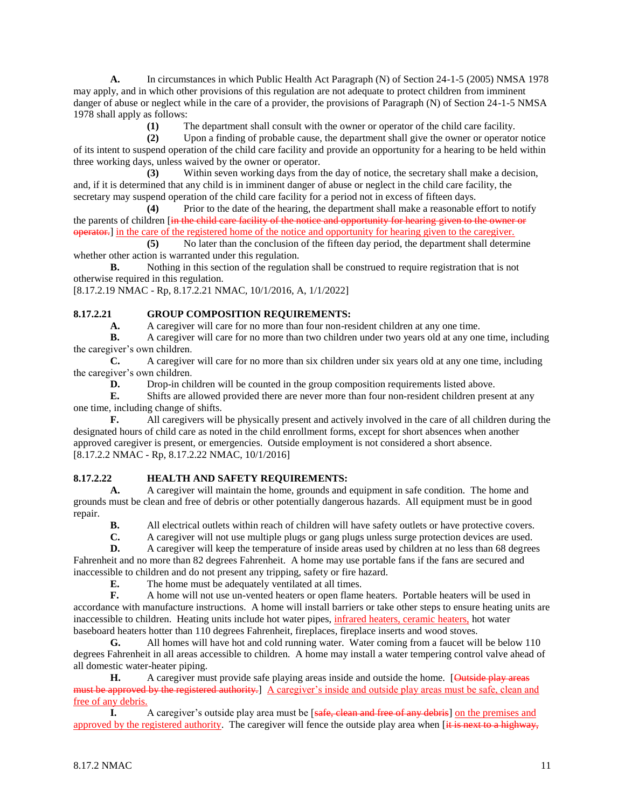**A.** In circumstances in which Public Health Act Paragraph (N) of Section 24-1-5 (2005) NMSA 1978 may apply, and in which other provisions of this regulation are not adequate to protect children from imminent danger of abuse or neglect while in the care of a provider, the provisions of Paragraph (N) of Section 24-1-5 NMSA 1978 shall apply as follows:

**(1)** The department shall consult with the owner or operator of the child care facility.

**(2)** Upon a finding of probable cause, the department shall give the owner or operator notice of its intent to suspend operation of the child care facility and provide an opportunity for a hearing to be held within three working days, unless waived by the owner or operator.

**(3)** Within seven working days from the day of notice, the secretary shall make a decision, and, if it is determined that any child is in imminent danger of abuse or neglect in the child care facility, the secretary may suspend operation of the child care facility for a period not in excess of fifteen days.

**(4)** Prior to the date of the hearing, the department shall make a reasonable effort to notify the parents of children [in the child care facility of the notice and opportunity for hearing given to the owner or operator.] in the care of the registered home of the notice and opportunity for hearing given to the caregiver.

**(5)** No later than the conclusion of the fifteen day period, the department shall determine whether other action is warranted under this regulation.

**B.** Nothing in this section of the regulation shall be construed to require registration that is not otherwise required in this regulation.

[8.17.2.19 NMAC - Rp, 8.17.2.21 NMAC, 10/1/2016, A, 1/1/2022]

## **8.17.2.21 GROUP COMPOSITION REQUIREMENTS:**

**A.** A caregiver will care for no more than four non-resident children at any one time.

**B.** A caregiver will care for no more than two children under two years old at any one time, including the caregiver's own children.

**C.** A caregiver will care for no more than six children under six years old at any one time, including the caregiver's own children.

**D.** Drop-in children will be counted in the group composition requirements listed above.

**E.** Shifts are allowed provided there are never more than four non-resident children present at any one time, including change of shifts.

**F.** All caregivers will be physically present and actively involved in the care of all children during the designated hours of child care as noted in the child enrollment forms, except for short absences when another approved caregiver is present, or emergencies. Outside employment is not considered a short absence. [8.17.2.2 NMAC - Rp, 8.17.2.22 NMAC, 10/1/2016]

## **8.17.2.22 HEALTH AND SAFETY REQUIREMENTS:**

**A.** A caregiver will maintain the home, grounds and equipment in safe condition. The home and grounds must be clean and free of debris or other potentially dangerous hazards. All equipment must be in good repair.

**B.** All electrical outlets within reach of children will have safety outlets or have protective covers.

**C.** A caregiver will not use multiple plugs or gang plugs unless surge protection devices are used.

**D.** A caregiver will keep the temperature of inside areas used by children at no less than 68 degrees Fahrenheit and no more than 82 degrees Fahrenheit. A home may use portable fans if the fans are secured and inaccessible to children and do not present any tripping, safety or fire hazard.

**E.** The home must be adequately ventilated at all times.

**F.** A home will not use un-vented heaters or open flame heaters. Portable heaters will be used in accordance with manufacture instructions. A home will install barriers or take other steps to ensure heating units are inaccessible to children. Heating units include hot water pipes, infrared heaters, ceramic heaters, hot water baseboard heaters hotter than 110 degrees Fahrenheit, fireplaces, fireplace inserts and wood stoves.

**G.** All homes will have hot and cold running water. Water coming from a faucet will be below 110 degrees Fahrenheit in all areas accessible to children. A home may install a water tempering control valve ahead of all domestic water-heater piping.

**H.** A caregiver must provide safe playing areas inside and outside the home. [Outside play areas must be approved by the registered authority. A caregiver's inside and outside play areas must be safe, clean and free of any debris.

**I.** A caregiver's outside play area must be [safe, clean and free of any debris] on the premises and approved by the registered authority. The caregiver will fence the outside play area when [it is next to a highway,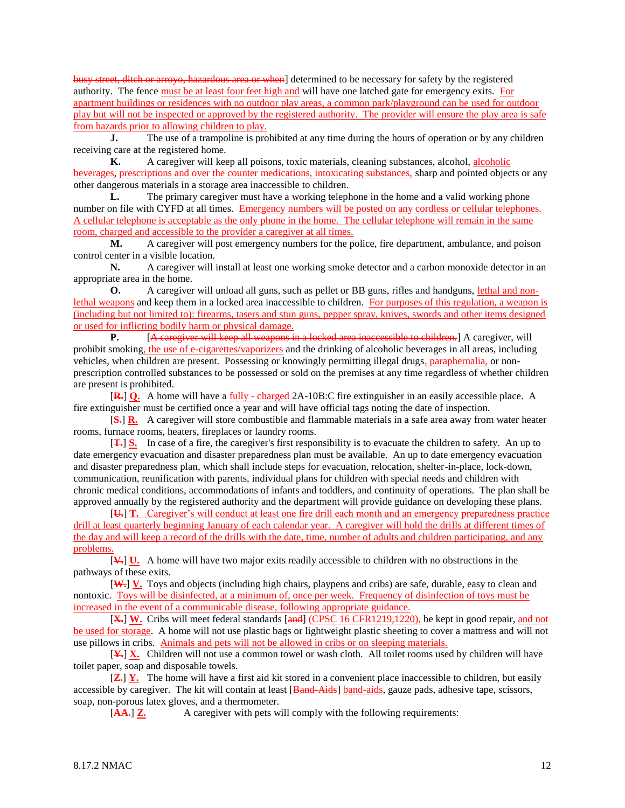busy street, ditch or arroyo, hazardous area or when] determined to be necessary for safety by the registered authority. The fence must be at least four feet high and will have one latched gate for emergency exits. For apartment buildings or residences with no outdoor play areas, a common park/playground can be used for outdoor play but will not be inspected or approved by the registered authority. The provider will ensure the play area is safe from hazards prior to allowing children to play.

**J.** The use of a trampoline is prohibited at any time during the hours of operation or by any children receiving care at the registered home.

**K.** A caregiver will keep all poisons, toxic materials, cleaning substances, alcohol, alcoholic beverages, prescriptions and over the counter medications, intoxicating substances, sharp and pointed objects or any other dangerous materials in a storage area inaccessible to children.

**L.** The primary caregiver must have a working telephone in the home and a valid working phone number on file with CYFD at all times. Emergency numbers will be posted on any cordless or cellular telephones. A cellular telephone is acceptable as the only phone in the home. The cellular telephone will remain in the same room, charged and accessible to the provider a caregiver at all times.

**M.** A caregiver will post emergency numbers for the police, fire department, ambulance, and poison control center in a visible location.

**N.** A caregiver will install at least one working smoke detector and a carbon monoxide detector in an appropriate area in the home.

**O.** A caregiver will unload all guns, such as pellet or BB guns, rifles and handguns, lethal and nonlethal weapons and keep them in a locked area inaccessible to children. For purposes of this regulation, a weapon is (including but not limited to): firearms, tasers and stun guns, pepper spray, knives, swords and other items designed or used for inflicting bodily harm or physical damage.

**P.** [A caregiver will keep all weapons in a locked area inaccessible to children.] A caregiver, will prohibit smoking, the use of e-cigarettes/vaporizers and the drinking of alcoholic beverages in all areas, including vehicles, when children are present. Possessing or knowingly permitting illegal drugs, paraphernalia, or nonprescription controlled substances to be possessed or sold on the premises at any time regardless of whether children are present is prohibited.

[**R.**] **Q.** A home will have a fully - charged 2A-10B:C fire extinguisher in an easily accessible place. A fire extinguisher must be certified once a year and will have official tags noting the date of inspection.

[**S.**] **R.** A caregiver will store combustible and flammable materials in a safe area away from water heater rooms, furnace rooms, heaters, fireplaces or laundry rooms.

[**T.**] **S.** In case of a fire, the caregiver's first responsibility is to evacuate the children to safety. An up to date emergency evacuation and disaster preparedness plan must be available. An up to date emergency evacuation and disaster preparedness plan, which shall include steps for evacuation, relocation, shelter-in-place, lock-down, communication, reunification with parents, individual plans for children with special needs and children with chronic medical conditions, accommodations of infants and toddlers, and continuity of operations. The plan shall be approved annually by the registered authority and the department will provide guidance on developing these plans.

[**U.**] **T.** Caregiver's will conduct at least one fire drill each month and an emergency preparedness practice drill at least quarterly beginning January of each calendar year. A caregiver will hold the drills at different times of the day and will keep a record of the drills with the date, time, number of adults and children participating, and any problems.

[**V.**] **U.** A home will have two major exits readily accessible to children with no obstructions in the pathways of these exits.

[**W.**] **V.** Toys and objects (including high chairs, playpens and cribs) are safe, durable, easy to clean and nontoxic. Toys will be disinfected, at a minimum of, once per week. Frequency of disinfection of toys must be increased in the event of a communicable disease, following appropriate guidance.

[X.] W. Cribs will meet federal standards [and] (CPSC 16 CFR1219,1220), be kept in good repair, and not be used for storage. A home will not use plastic bags or lightweight plastic sheeting to cover a mattress and will not use pillows in cribs. Animals and pets will not be allowed in cribs or on sleeping materials.

[**Y.**] **X.** Children will not use a common towel or wash cloth. All toilet rooms used by children will have toilet paper, soap and disposable towels.

[**Z.**] **Y.** The home will have a first aid kit stored in a convenient place inaccessible to children, but easily accessible by caregiver. The kit will contain at least [Band-Aids] band-aids, gauze pads, adhesive tape, scissors, soap, non-porous latex gloves, and a thermometer.

[AA...] **Z.** A caregiver with pets will comply with the following requirements: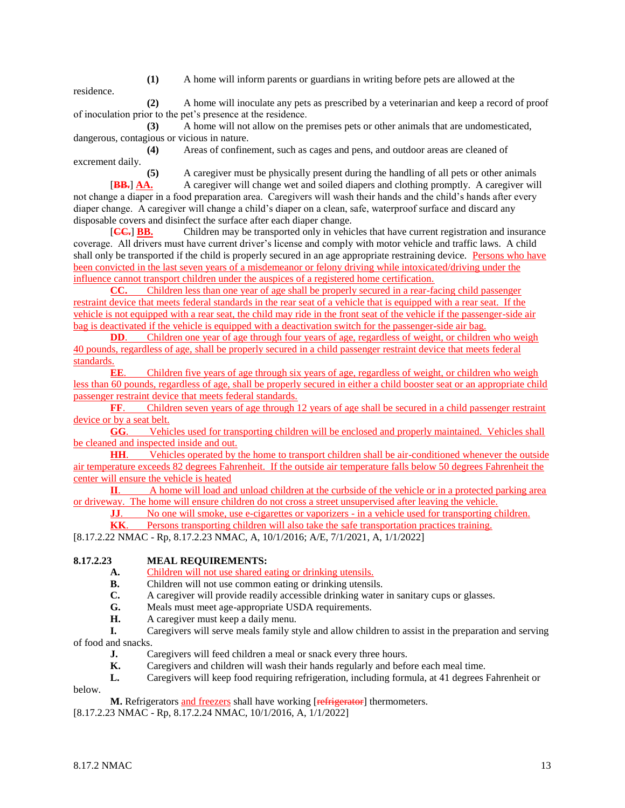**(1)** A home will inform parents or guardians in writing before pets are allowed at the

residence.

**(2)** A home will inoculate any pets as prescribed by a veterinarian and keep a record of proof of inoculation prior to the pet's presence at the residence.

**(3)** A home will not allow on the premises pets or other animals that are undomesticated, dangerous, contagious or vicious in nature.

**(4)** Areas of confinement, such as cages and pens, and outdoor areas are cleaned of excrement daily.

**(5)** A caregiver must be physically present during the handling of all pets or other animals [**BB.**] **AA.** A caregiver will change wet and soiled diapers and clothing promptly. A caregiver will not change a diaper in a food preparation area. Caregivers will wash their hands and the child's hands after every diaper change. A caregiver will change a child's diaper on a clean, safe, waterproof surface and discard any disposable covers and disinfect the surface after each diaper change.

[**CC.**] **BB.** Children may be transported only in vehicles that have current registration and insurance coverage. All drivers must have current driver's license and comply with motor vehicle and traffic laws. A child shall only be transported if the child is properly secured in an age appropriate restraining device. Persons who have been convicted in the last seven years of a misdemeanor or felony driving while intoxicated/driving under the influence cannot transport children under the auspices of a registered home certification.

**CC.** Children less than one year of age shall be properly secured in a rear-facing child passenger restraint device that meets federal standards in the rear seat of a vehicle that is equipped with a rear seat. If the vehicle is not equipped with a rear seat, the child may ride in the front seat of the vehicle if the passenger-side air bag is deactivated if the vehicle is equipped with a deactivation switch for the passenger-side air bag.

**DD.** Children one year of age through four years of age, regardless of weight, or children who weigh 40 pounds, regardless of age, shall be properly secured in a child passenger restraint device that meets federal standards.

**EE**. Children five years of age through six years of age, regardless of weight, or children who weigh less than 60 pounds, regardless of age, shall be properly secured in either a child booster seat or an appropriate child passenger restraint device that meets federal standards.

**FF.** Children seven years of age through 12 years of age shall be secured in a child passenger restraint device or by a seat belt.

**GG**. Vehicles used for transporting children will be enclosed and properly maintained. Vehicles shall be cleaned and inspected inside and out.

**HH**. Vehicles operated by the home to transport children shall be air-conditioned whenever the outside air temperature exceeds 82 degrees Fahrenheit. If the outside air temperature falls below 50 degrees Fahrenheit the center will ensure the vehicle is heated

**II**. A home will load and unload children at the curbside of the vehicle or in a protected parking area or driveway. The home will ensure children do not cross a street unsupervised after leaving the vehicle.

**JJ.** No one will smoke, use e-cigarettes or vaporizers - in a vehicle used for transporting children.

**KK**. Persons transporting children will also take the safe transportation practices training.

[8.17.2.22 NMAC - Rp, 8.17.2.23 NMAC, A, 10/1/2016; A/E, 7/1/2021, A, 1/1/2022]

## **8.17.2.23 MEAL REQUIREMENTS:**

- **A.** Children will not use shared eating or drinking utensils.
- **B.** Children will not use common eating or drinking utensils.
- **C.** A caregiver will provide readily accessible drinking water in sanitary cups or glasses.
- **G.** Meals must meet age-appropriate USDA requirements.
- **H.** A caregiver must keep a daily menu.

**I.** Caregivers will serve meals family style and allow children to assist in the preparation and serving of food and snacks.

- **J.** Caregivers will feed children a meal or snack every three hours.
- **K.** Caregivers and children will wash their hands regularly and before each meal time.
- **L.** Caregivers will keep food requiring refrigeration, including formula, at 41 degrees Fahrenheit or

below.

M. Refrigerators and freezers shall have working [refrigerator] thermometers.

[8.17.2.23 NMAC - Rp, 8.17.2.24 NMAC, 10/1/2016, A, 1/1/2022]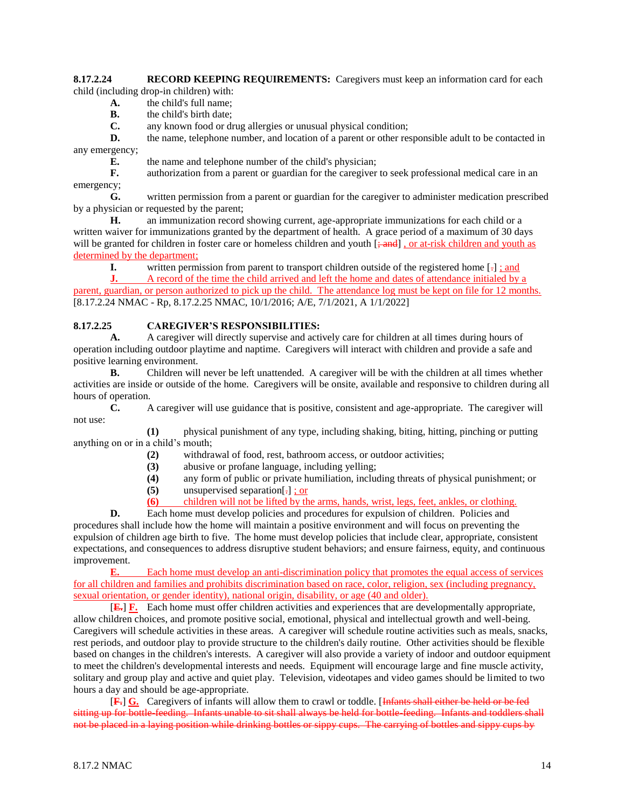#### **8.17.2.24 RECORD KEEPING REQUIREMENTS:** Caregivers must keep an information card for each child (including drop-in children) with:

- **A.** the child's full name;
- **B.** the child's birth date;

**C.** any known food or drug allergies or unusual physical condition;

**D.** the name, telephone number, and location of a parent or other responsible adult to be contacted in any emergency;

**E.** the name and telephone number of the child's physician;

**F.** authorization from a parent or guardian for the caregiver to seek professional medical care in an emergency;

**G.** written permission from a parent or guardian for the caregiver to administer medication prescribed by a physician or requested by the parent;

**H.** an immunization record showing current, age-appropriate immunizations for each child or a written waiver for immunizations granted by the department of health. A grace period of a maximum of 30 days will be granted for children in foster care or homeless children and youth  $\left[\frac{1}{2}$  , or at-risk children and youth as determined by the department;

**I.** written permission from parent to transport children outside of the registered home [-]  $\frac{1}{2}$  and

**J.** A record of the time the child arrived and left the home and dates of attendance initialed by a parent, guardian, or person authorized to pick up the child. The attendance log must be kept on file for 12 months. [8.17.2.24 NMAC - Rp, 8.17.2.25 NMAC, 10/1/2016; A/E, 7/1/2021, A 1/1/2022]

## **8.17.2.25 CAREGIVER'S RESPONSIBILITIES:**

**A.** A caregiver will directly supervise and actively care for children at all times during hours of operation including outdoor playtime and naptime. Caregivers will interact with children and provide a safe and positive learning environment.

**B.** Children will never be left unattended. A caregiver will be with the children at all times whether activities are inside or outside of the home. Caregivers will be onsite, available and responsive to children during all hours of operation.

**C.** A caregiver will use guidance that is positive, consistent and age-appropriate. The caregiver will not use:

**(1)** physical punishment of any type, including shaking, biting, hitting, pinching or putting anything on or in a child's mouth;

- **(2)** withdrawal of food, rest, bathroom access, or outdoor activities;
- **(3)** abusive or profane language, including yelling;
- **(4)** any form of public or private humiliation, including threats of physical punishment; or
- **(5)** unsupervised separation[.] ; or
- **(6)** children will not be lifted by the arms, hands, wrist, legs, feet, ankles, or clothing.

**D.** Each home must develop policies and procedures for expulsion of children. Policies and procedures shall include how the home will maintain a positive environment and will focus on preventing the expulsion of children age birth to five. The home must develop policies that include clear, appropriate, consistent expectations, and consequences to address disruptive student behaviors; and ensure fairness, equity, and continuous improvement.

**E.** Each home must develop an anti-discrimination policy that promotes the equal access of services for all children and families and prohibits discrimination based on race, color, religion, sex (including pregnancy, sexual orientation, or gender identity), national origin, disability, or age (40 and older).

[**E.**] **F.** Each home must offer children activities and experiences that are developmentally appropriate, allow children choices, and promote positive social, emotional, physical and intellectual growth and well-being. Caregivers will schedule activities in these areas. A caregiver will schedule routine activities such as meals, snacks, rest periods, and outdoor play to provide structure to the children's daily routine. Other activities should be flexible based on changes in the children's interests. A caregiver will also provide a variety of indoor and outdoor equipment to meet the children's developmental interests and needs. Equipment will encourage large and fine muscle activity, solitary and group play and active and quiet play. Television, videotapes and video games should be limited to two hours a day and should be age-appropriate.

[**F.**] **G.** Caregivers of infants will allow them to crawl or toddle. [Infants shall either be held or be fed sitting up for bottle-feeding. Infants unable to sit shall always be held for bottle-feeding. Infants and toddlers shall not be placed in a laying position while drinking bottles or sippy cups. The carrying of bottles and sippy cups by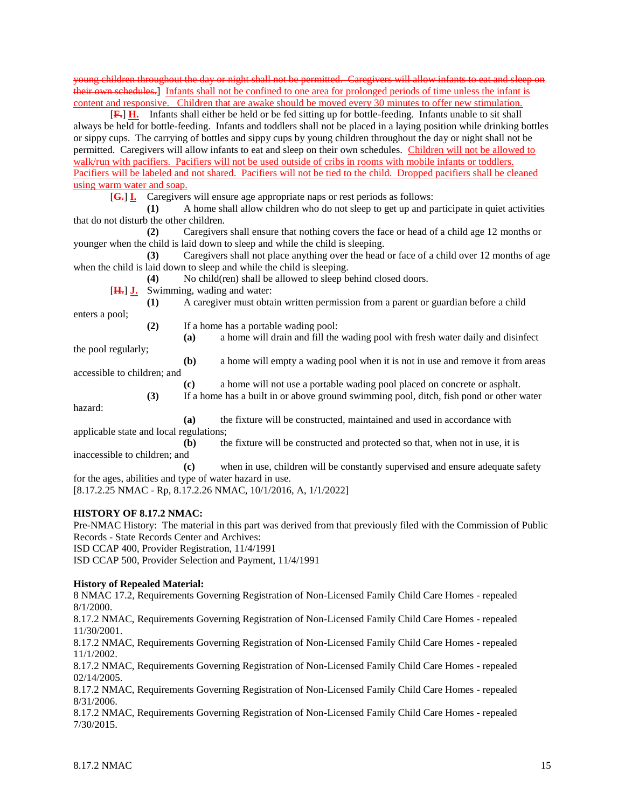young children throughout the day or night shall not be permitted. Caregivers will allow infants to eat and sleep on their own schedules.] Infants shall not be confined to one area for prolonged periods of time unless the infant is content and responsive. Children that are awake should be moved every 30 minutes to offer new stimulation.

[**F.**] **H.** Infants shall either be held or be fed sitting up for bottle-feeding. Infants unable to sit shall always be held for bottle-feeding. Infants and toddlers shall not be placed in a laying position while drinking bottles or sippy cups. The carrying of bottles and sippy cups by young children throughout the day or night shall not be permitted. Caregivers will allow infants to eat and sleep on their own schedules. Children will not be allowed to walk/run with pacifiers. Pacifiers will not be used outside of cribs in rooms with mobile infants or toddlers. Pacifiers will be labeled and not shared. Pacifiers will not be tied to the child. Dropped pacifiers shall be cleaned using warm water and soap.

[**G.**] **I.** Caregivers will ensure age appropriate naps or rest periods as follows:

**(1)** A home shall allow children who do not sleep to get up and participate in quiet activities that do not disturb the other children.

**(2)** Caregivers shall ensure that nothing covers the face or head of a child age 12 months or younger when the child is laid down to sleep and while the child is sleeping.

**(3)** Caregivers shall not place anything over the head or face of a child over 12 months of age when the child is laid down to sleep and while the child is sleeping.

**(4)** No child(ren) shall be allowed to sleep behind closed doors.

[**H.**] **J.** Swimming, wading and water:

**(1)** A caregiver must obtain written permission from a parent or guardian before a child

**(2)** If a home has a portable wading pool:

**(a)** a home will drain and fill the wading pool with fresh water daily and disinfect

the pool regularly;

enters a pool;

**(b)** a home will empty a wading pool when it is not in use and remove it from areas

accessible to children; and

**(c)** a home will not use a portable wading pool placed on concrete or asphalt. **(3)** If a home has a built in or above ground swimming pool, ditch, fish pond or other water

hazard:

**(a)** the fixture will be constructed, maintained and used in accordance with applicable state and local regulations;

**(b)** the fixture will be constructed and protected so that, when not in use, it is inaccessible to children; and

**(c)** when in use, children will be constantly supervised and ensure adequate safety for the ages, abilities and type of water hazard in use.

[8.17.2.25 NMAC - Rp, 8.17.2.26 NMAC, 10/1/2016, A, 1/1/2022]

## **HISTORY OF 8.17.2 NMAC:**

Pre-NMAC History: The material in this part was derived from that previously filed with the Commission of Public Records - State Records Center and Archives: ISD CCAP 400, Provider Registration, 11/4/1991

ISD CCAP 500, Provider Selection and Payment, 11/4/1991

#### **History of Repealed Material:**

8 NMAC 17.2, Requirements Governing Registration of Non-Licensed Family Child Care Homes - repealed 8/1/2000.

8.17.2 NMAC, Requirements Governing Registration of Non-Licensed Family Child Care Homes - repealed 11/30/2001.

8.17.2 NMAC, Requirements Governing Registration of Non-Licensed Family Child Care Homes - repealed 11/1/2002.

8.17.2 NMAC, Requirements Governing Registration of Non-Licensed Family Child Care Homes - repealed 02/14/2005.

8.17.2 NMAC, Requirements Governing Registration of Non-Licensed Family Child Care Homes - repealed 8/31/2006.

8.17.2 NMAC, Requirements Governing Registration of Non-Licensed Family Child Care Homes - repealed 7/30/2015.